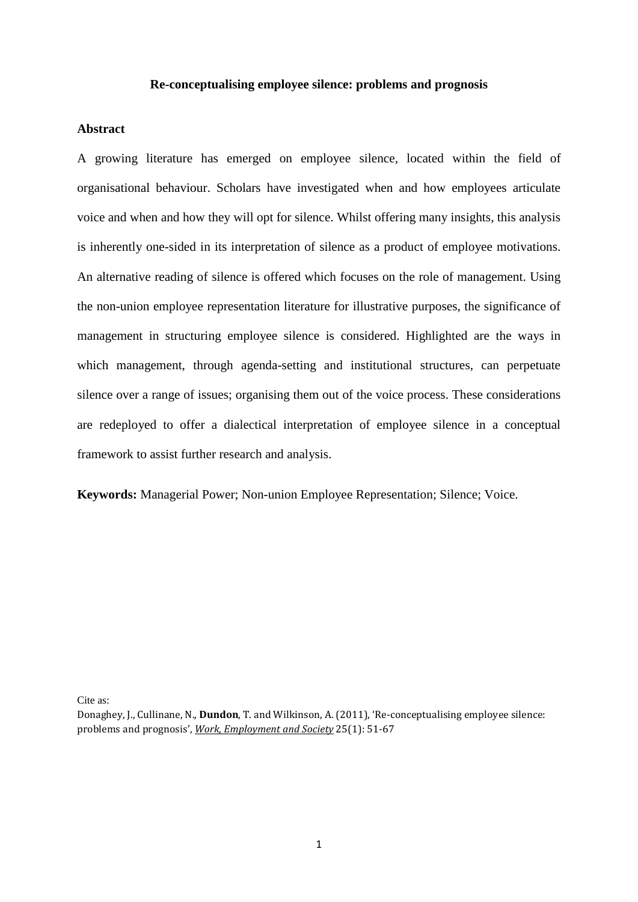#### **Re-conceptualising employee silence: problems and prognosis**

#### **Abstract**

A growing literature has emerged on employee silence, located within the field of organisational behaviour. Scholars have investigated when and how employees articulate voice and when and how they will opt for silence. Whilst offering many insights, this analysis is inherently one-sided in its interpretation of silence as a product of employee motivations. An alternative reading of silence is offered which focuses on the role of management. Using the non-union employee representation literature for illustrative purposes, the significance of management in structuring employee silence is considered. Highlighted are the ways in which management, through agenda-setting and institutional structures, can perpetuate silence over a range of issues; organising them out of the voice process. These considerations are redeployed to offer a dialectical interpretation of employee silence in a conceptual framework to assist further research and analysis.

**Keywords:** Managerial Power; Non-union Employee Representation; Silence; Voice.

Cite as:

Donaghey, J., Cullinane, N., **Dundon**, T. and Wilkinson, A. (2011), 'Re-conceptualising employee silence: problems and prognosis', *Work, Employment and Society* 25(1): 51-67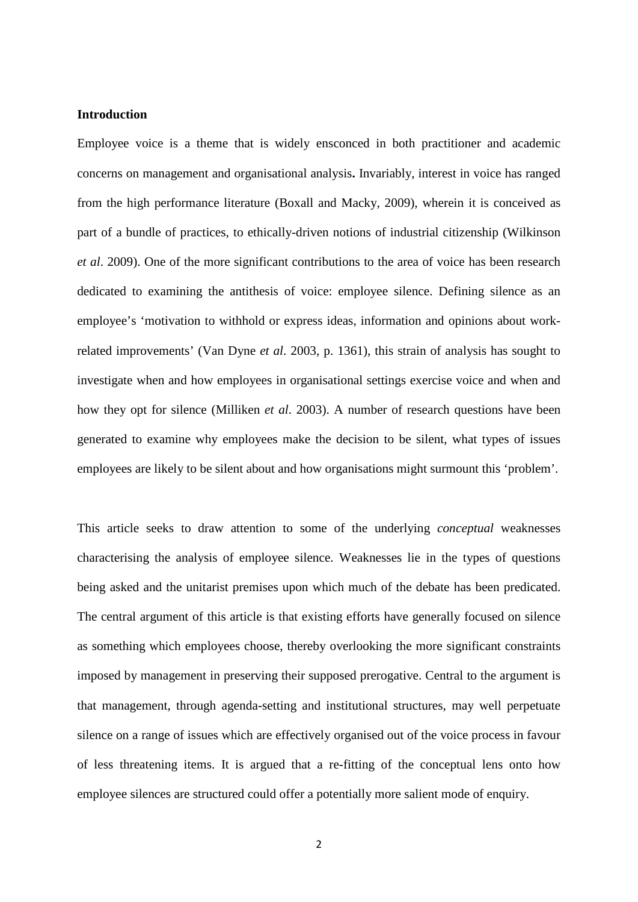#### **Introduction**

Employee voice is a theme that is widely ensconced in both practitioner and academic concerns on management and organisational analysis**.** Invariably, interest in voice has ranged from the high performance literature (Boxall and Macky, 2009), wherein it is conceived as part of a bundle of practices, to ethically-driven notions of industrial citizenship (Wilkinson *et al*. 2009). One of the more significant contributions to the area of voice has been research dedicated to examining the antithesis of voice: employee silence. Defining silence as an employee's 'motivation to withhold or express ideas, information and opinions about workrelated improvements' (Van Dyne *et al*. 2003, p. 1361), this strain of analysis has sought to investigate when and how employees in organisational settings exercise voice and when and how they opt for silence (Milliken *et al*. 2003). A number of research questions have been generated to examine why employees make the decision to be silent, what types of issues employees are likely to be silent about and how organisations might surmount this 'problem'.

This article seeks to draw attention to some of the underlying *conceptual* weaknesses characterising the analysis of employee silence. Weaknesses lie in the types of questions being asked and the unitarist premises upon which much of the debate has been predicated. The central argument of this article is that existing efforts have generally focused on silence as something which employees choose, thereby overlooking the more significant constraints imposed by management in preserving their supposed prerogative. Central to the argument is that management, through agenda-setting and institutional structures, may well perpetuate silence on a range of issues which are effectively organised out of the voice process in favour of less threatening items. It is argued that a re-fitting of the conceptual lens onto how employee silences are structured could offer a potentially more salient mode of enquiry.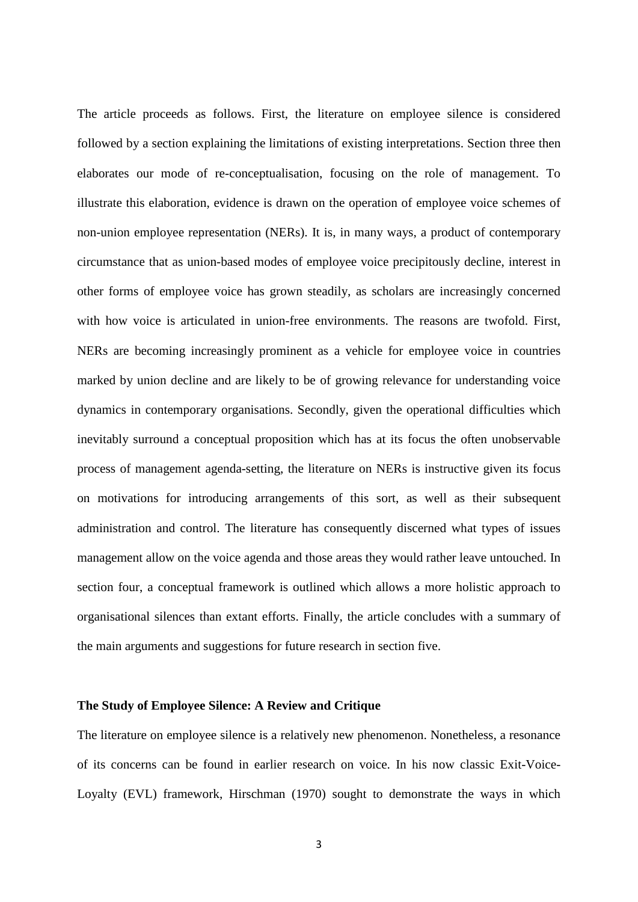The article proceeds as follows. First, the literature on employee silence is considered followed by a section explaining the limitations of existing interpretations. Section three then elaborates our mode of re-conceptualisation, focusing on the role of management. To illustrate this elaboration, evidence is drawn on the operation of employee voice schemes of non-union employee representation (NERs). It is, in many ways, a product of contemporary circumstance that as union-based modes of employee voice precipitously decline, interest in other forms of employee voice has grown steadily, as scholars are increasingly concerned with how voice is articulated in union-free environments. The reasons are twofold. First, NERs are becoming increasingly prominent as a vehicle for employee voice in countries marked by union decline and are likely to be of growing relevance for understanding voice dynamics in contemporary organisations. Secondly, given the operational difficulties which inevitably surround a conceptual proposition which has at its focus the often unobservable process of management agenda-setting, the literature on NERs is instructive given its focus on motivations for introducing arrangements of this sort, as well as their subsequent administration and control. The literature has consequently discerned what types of issues management allow on the voice agenda and those areas they would rather leave untouched. In section four, a conceptual framework is outlined which allows a more holistic approach to organisational silences than extant efforts. Finally, the article concludes with a summary of the main arguments and suggestions for future research in section five.

#### **The Study of Employee Silence: A Review and Critique**

The literature on employee silence is a relatively new phenomenon. Nonetheless, a resonance of its concerns can be found in earlier research on voice. In his now classic Exit-Voice-Loyalty (EVL) framework, Hirschman (1970) sought to demonstrate the ways in which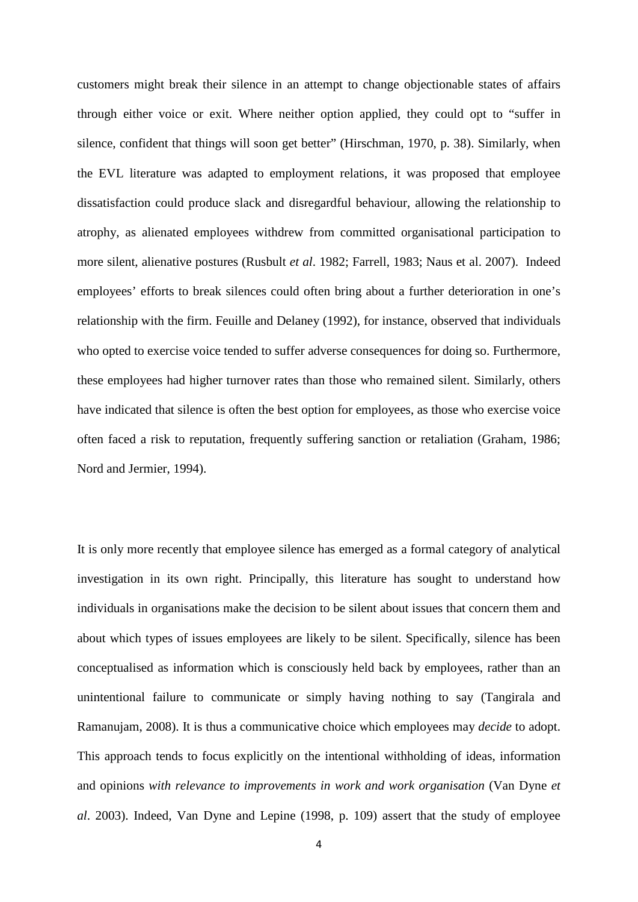customers might break their silence in an attempt to change objectionable states of affairs through either voice or exit. Where neither option applied, they could opt to "suffer in silence, confident that things will soon get better" (Hirschman, 1970, p. 38). Similarly, when the EVL literature was adapted to employment relations, it was proposed that employee dissatisfaction could produce slack and disregardful behaviour, allowing the relationship to atrophy, as alienated employees withdrew from committed organisational participation to more silent, alienative postures (Rusbult *et al*. 1982; Farrell, 1983; Naus et al. 2007). Indeed employees' efforts to break silences could often bring about a further deterioration in one's relationship with the firm. Feuille and Delaney (1992), for instance, observed that individuals who opted to exercise voice tended to suffer adverse consequences for doing so. Furthermore, these employees had higher turnover rates than those who remained silent. Similarly, others have indicated that silence is often the best option for employees, as those who exercise voice often faced a risk to reputation, frequently suffering sanction or retaliation (Graham, 1986; Nord and Jermier, 1994).

It is only more recently that employee silence has emerged as a formal category of analytical investigation in its own right. Principally, this literature has sought to understand how individuals in organisations make the decision to be silent about issues that concern them and about which types of issues employees are likely to be silent. Specifically, silence has been conceptualised as information which is consciously held back by employees, rather than an unintentional failure to communicate or simply having nothing to say (Tangirala and Ramanujam, 2008). It is thus a communicative choice which employees may *decide* to adopt. This approach tends to focus explicitly on the intentional withholding of ideas, information and opinions *with relevance to improvements in work and work organisation* (Van Dyne *et al*. 2003). Indeed, Van Dyne and Lepine (1998, p. 109) assert that the study of employee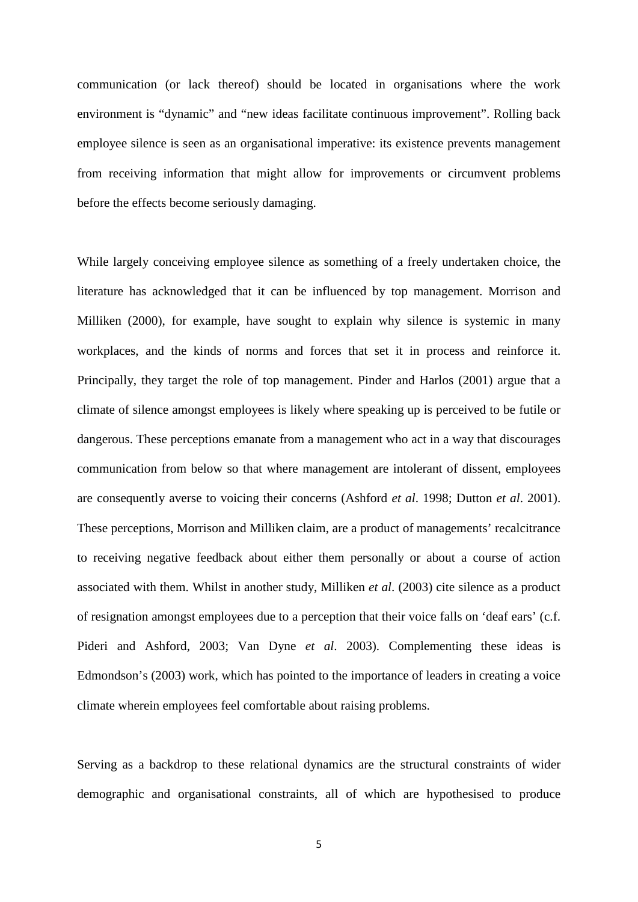communication (or lack thereof) should be located in organisations where the work environment is "dynamic" and "new ideas facilitate continuous improvement". Rolling back employee silence is seen as an organisational imperative: its existence prevents management from receiving information that might allow for improvements or circumvent problems before the effects become seriously damaging.

While largely conceiving employee silence as something of a freely undertaken choice, the literature has acknowledged that it can be influenced by top management. Morrison and Milliken (2000), for example, have sought to explain why silence is systemic in many workplaces, and the kinds of norms and forces that set it in process and reinforce it. Principally, they target the role of top management. Pinder and Harlos (2001) argue that a climate of silence amongst employees is likely where speaking up is perceived to be futile or dangerous. These perceptions emanate from a management who act in a way that discourages communication from below so that where management are intolerant of dissent, employees are consequently averse to voicing their concerns (Ashford *et al*. 1998; Dutton *et al*. 2001). These perceptions, Morrison and Milliken claim, are a product of managements' recalcitrance to receiving negative feedback about either them personally or about a course of action associated with them. Whilst in another study, Milliken *et al*. (2003) cite silence as a product of resignation amongst employees due to a perception that their voice falls on 'deaf ears' (c.f. Pideri and Ashford, 2003; Van Dyne *et al*. 2003). Complementing these ideas is Edmondson's (2003) work, which has pointed to the importance of leaders in creating a voice climate wherein employees feel comfortable about raising problems.

Serving as a backdrop to these relational dynamics are the structural constraints of wider demographic and organisational constraints, all of which are hypothesised to produce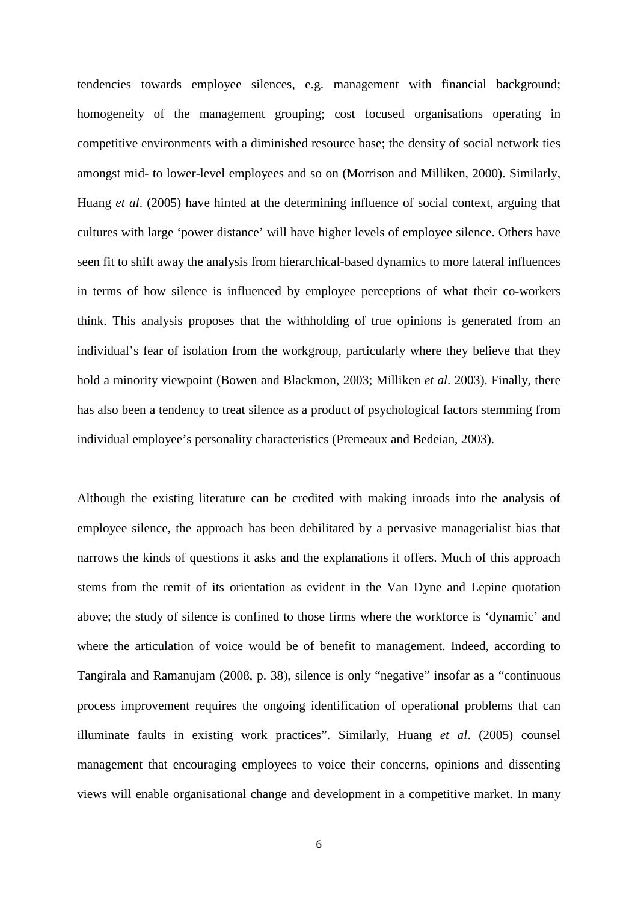tendencies towards employee silences, e.g. management with financial background; homogeneity of the management grouping; cost focused organisations operating in competitive environments with a diminished resource base; the density of social network ties amongst mid- to lower-level employees and so on (Morrison and Milliken, 2000). Similarly, Huang *et al*. (2005) have hinted at the determining influence of social context, arguing that cultures with large 'power distance' will have higher levels of employee silence. Others have seen fit to shift away the analysis from hierarchical-based dynamics to more lateral influences in terms of how silence is influenced by employee perceptions of what their co-workers think. This analysis proposes that the withholding of true opinions is generated from an individual's fear of isolation from the workgroup, particularly where they believe that they hold a minority viewpoint (Bowen and Blackmon, 2003; Milliken *et al*. 2003). Finally, there has also been a tendency to treat silence as a product of psychological factors stemming from individual employee's personality characteristics (Premeaux and Bedeian, 2003).

Although the existing literature can be credited with making inroads into the analysis of employee silence, the approach has been debilitated by a pervasive managerialist bias that narrows the kinds of questions it asks and the explanations it offers. Much of this approach stems from the remit of its orientation as evident in the Van Dyne and Lepine quotation above; the study of silence is confined to those firms where the workforce is 'dynamic' and where the articulation of voice would be of benefit to management. Indeed, according to Tangirala and Ramanujam (2008, p. 38), silence is only "negative" insofar as a "continuous process improvement requires the ongoing identification of operational problems that can illuminate faults in existing work practices". Similarly, Huang *et al*. (2005) counsel management that encouraging employees to voice their concerns, opinions and dissenting views will enable organisational change and development in a competitive market. In many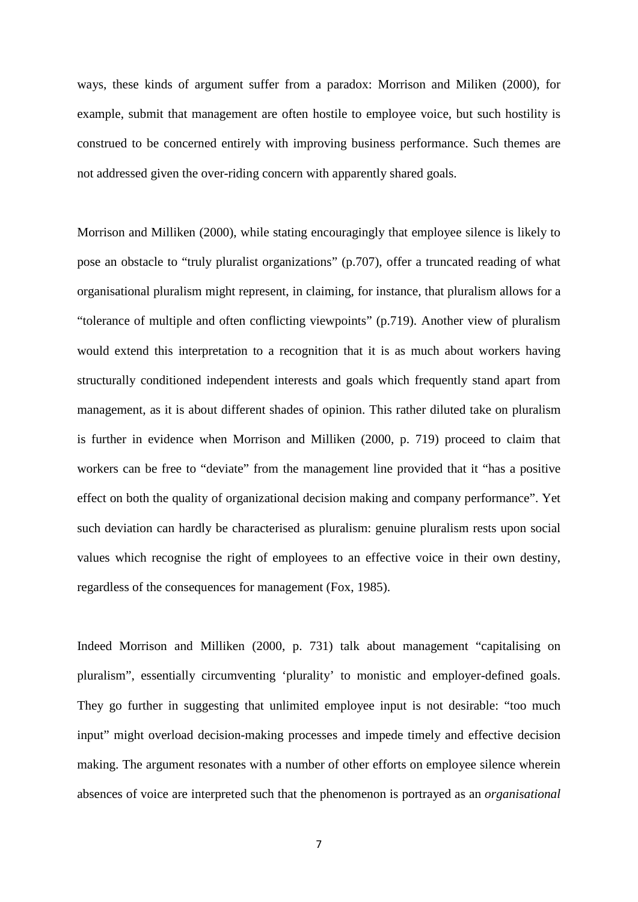ways, these kinds of argument suffer from a paradox: Morrison and Miliken (2000), for example, submit that management are often hostile to employee voice, but such hostility is construed to be concerned entirely with improving business performance. Such themes are not addressed given the over-riding concern with apparently shared goals.

Morrison and Milliken (2000), while stating encouragingly that employee silence is likely to pose an obstacle to "truly pluralist organizations" (p.707), offer a truncated reading of what organisational pluralism might represent, in claiming, for instance, that pluralism allows for a "tolerance of multiple and often conflicting viewpoints" (p.719). Another view of pluralism would extend this interpretation to a recognition that it is as much about workers having structurally conditioned independent interests and goals which frequently stand apart from management, as it is about different shades of opinion. This rather diluted take on pluralism is further in evidence when Morrison and Milliken (2000, p. 719) proceed to claim that workers can be free to "deviate" from the management line provided that it "has a positive effect on both the quality of organizational decision making and company performance". Yet such deviation can hardly be characterised as pluralism: genuine pluralism rests upon social values which recognise the right of employees to an effective voice in their own destiny, regardless of the consequences for management (Fox, 1985).

Indeed Morrison and Milliken (2000, p. 731) talk about management "capitalising on pluralism", essentially circumventing 'plurality' to monistic and employer-defined goals. They go further in suggesting that unlimited employee input is not desirable: "too much input" might overload decision-making processes and impede timely and effective decision making. The argument resonates with a number of other efforts on employee silence wherein absences of voice are interpreted such that the phenomenon is portrayed as an *organisational*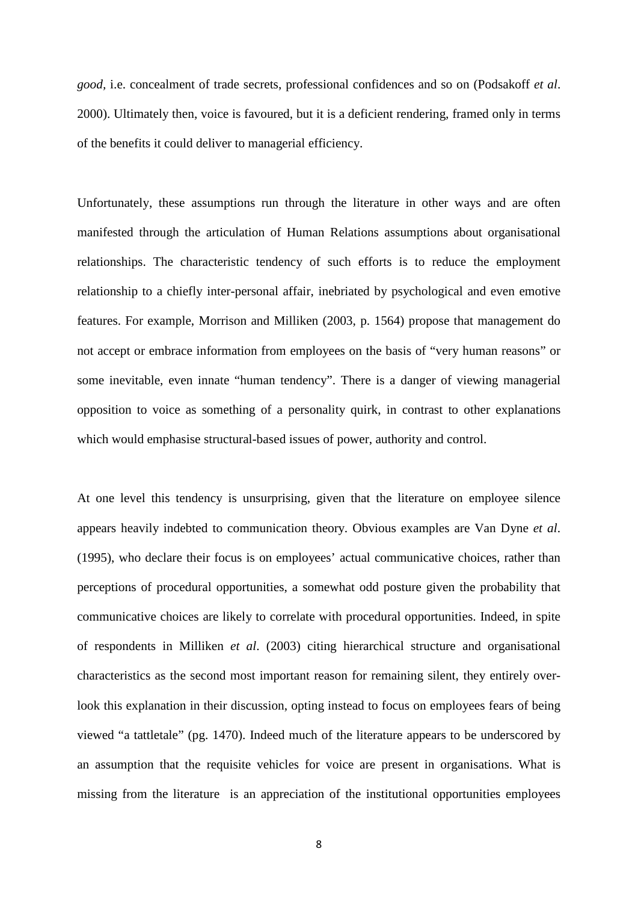*good,* i.e. concealment of trade secrets, professional confidences and so on (Podsakoff *et al*. 2000). Ultimately then, voice is favoured, but it is a deficient rendering, framed only in terms of the benefits it could deliver to managerial efficiency.

Unfortunately, these assumptions run through the literature in other ways and are often manifested through the articulation of Human Relations assumptions about organisational relationships. The characteristic tendency of such efforts is to reduce the employment relationship to a chiefly inter-personal affair, inebriated by psychological and even emotive features. For example, Morrison and Milliken (2003, p. 1564) propose that management do not accept or embrace information from employees on the basis of "very human reasons" or some inevitable, even innate "human tendency". There is a danger of viewing managerial opposition to voice as something of a personality quirk, in contrast to other explanations which would emphasise structural-based issues of power, authority and control.

At one level this tendency is unsurprising, given that the literature on employee silence appears heavily indebted to communication theory. Obvious examples are Van Dyne *et al*. (1995), who declare their focus is on employees' actual communicative choices, rather than perceptions of procedural opportunities, a somewhat odd posture given the probability that communicative choices are likely to correlate with procedural opportunities. Indeed, in spite of respondents in Milliken *et al*. (2003) citing hierarchical structure and organisational characteristics as the second most important reason for remaining silent, they entirely overlook this explanation in their discussion, opting instead to focus on employees fears of being viewed "a tattletale" (pg. 1470). Indeed much of the literature appears to be underscored by an assumption that the requisite vehicles for voice are present in organisations. What is missing from the literature is an appreciation of the institutional opportunities employees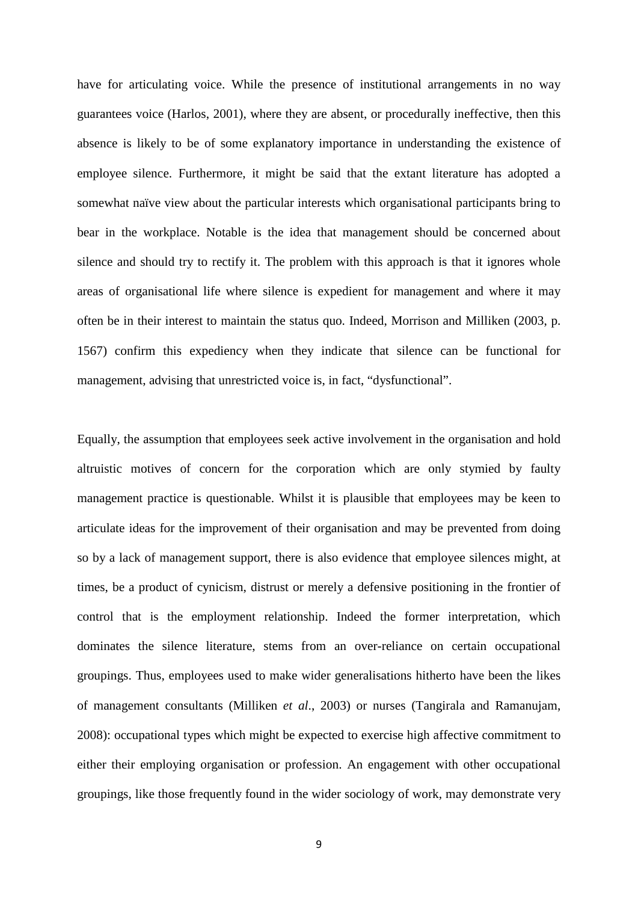have for articulating voice. While the presence of institutional arrangements in no way guarantees voice (Harlos, 2001), where they are absent, or procedurally ineffective, then this absence is likely to be of some explanatory importance in understanding the existence of employee silence. Furthermore, it might be said that the extant literature has adopted a somewhat naïve view about the particular interests which organisational participants bring to bear in the workplace. Notable is the idea that management should be concerned about silence and should try to rectify it. The problem with this approach is that it ignores whole areas of organisational life where silence is expedient for management and where it may often be in their interest to maintain the status quo. Indeed, Morrison and Milliken (2003, p. 1567) confirm this expediency when they indicate that silence can be functional for management, advising that unrestricted voice is, in fact, "dysfunctional".

Equally, the assumption that employees seek active involvement in the organisation and hold altruistic motives of concern for the corporation which are only stymied by faulty management practice is questionable. Whilst it is plausible that employees may be keen to articulate ideas for the improvement of their organisation and may be prevented from doing so by a lack of management support, there is also evidence that employee silences might, at times, be a product of cynicism, distrust or merely a defensive positioning in the frontier of control that is the employment relationship. Indeed the former interpretation, which dominates the silence literature, stems from an over-reliance on certain occupational groupings. Thus, employees used to make wider generalisations hitherto have been the likes of management consultants (Milliken *et al*., 2003) or nurses (Tangirala and Ramanujam, 2008): occupational types which might be expected to exercise high affective commitment to either their employing organisation or profession. An engagement with other occupational groupings, like those frequently found in the wider sociology of work, may demonstrate very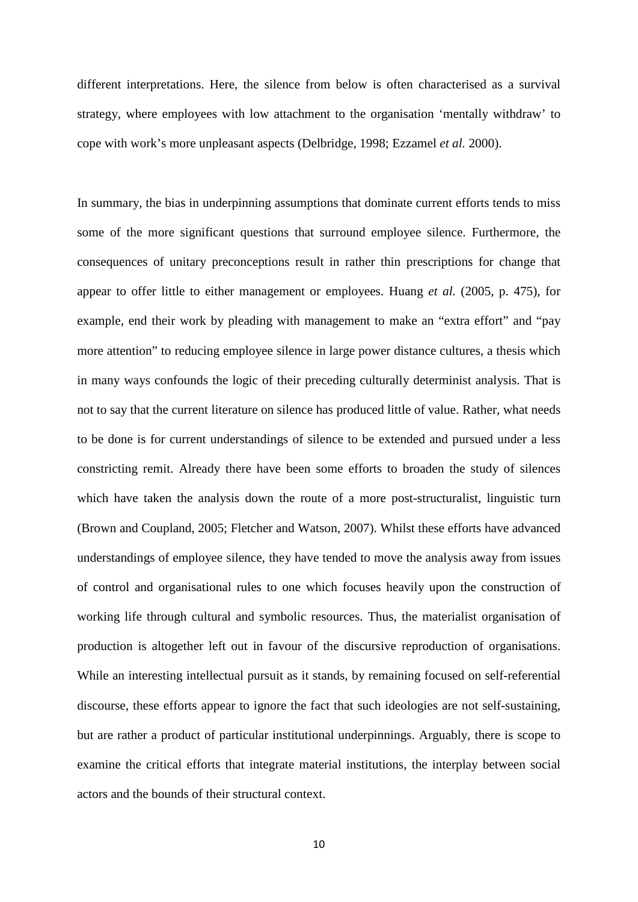different interpretations. Here, the silence from below is often characterised as a survival strategy, where employees with low attachment to the organisation 'mentally withdraw' to cope with work's more unpleasant aspects (Delbridge, 1998; Ezzamel *et al.* 2000).

In summary, the bias in underpinning assumptions that dominate current efforts tends to miss some of the more significant questions that surround employee silence. Furthermore, the consequences of unitary preconceptions result in rather thin prescriptions for change that appear to offer little to either management or employees. Huang *et al.* (2005, p. 475), for example, end their work by pleading with management to make an "extra effort" and "pay more attention" to reducing employee silence in large power distance cultures, a thesis which in many ways confounds the logic of their preceding culturally determinist analysis. That is not to say that the current literature on silence has produced little of value. Rather, what needs to be done is for current understandings of silence to be extended and pursued under a less constricting remit. Already there have been some efforts to broaden the study of silences which have taken the analysis down the route of a more post-structuralist, linguistic turn (Brown and Coupland, 2005; Fletcher and Watson, 2007). Whilst these efforts have advanced understandings of employee silence, they have tended to move the analysis away from issues of control and organisational rules to one which focuses heavily upon the construction of working life through cultural and symbolic resources. Thus, the materialist organisation of production is altogether left out in favour of the discursive reproduction of organisations. While an interesting intellectual pursuit as it stands, by remaining focused on self-referential discourse, these efforts appear to ignore the fact that such ideologies are not self-sustaining, but are rather a product of particular institutional underpinnings. Arguably, there is scope to examine the critical efforts that integrate material institutions, the interplay between social actors and the bounds of their structural context.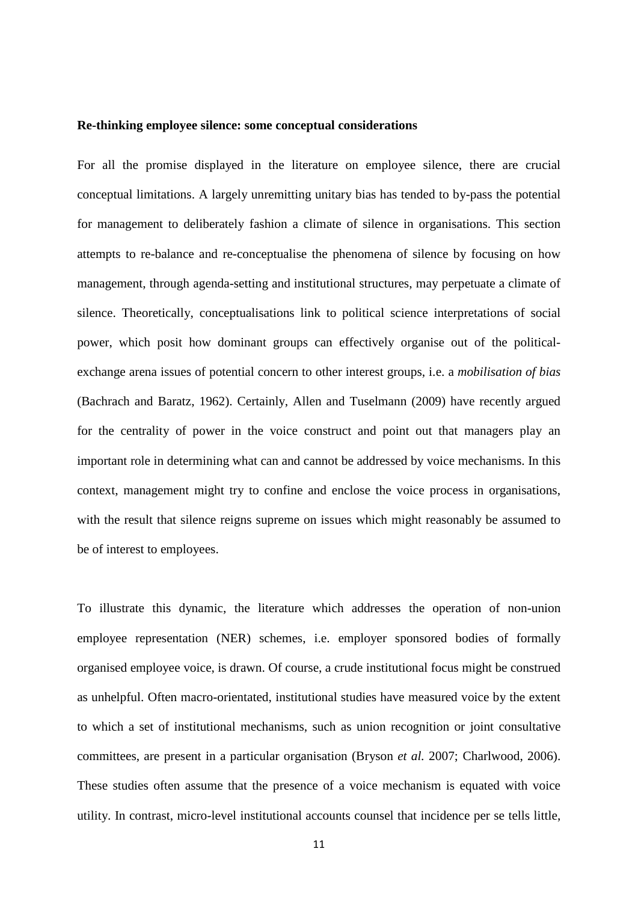#### **Re-thinking employee silence: some conceptual considerations**

For all the promise displayed in the literature on employee silence, there are crucial conceptual limitations. A largely unremitting unitary bias has tended to by-pass the potential for management to deliberately fashion a climate of silence in organisations. This section attempts to re-balance and re-conceptualise the phenomena of silence by focusing on how management, through agenda-setting and institutional structures, may perpetuate a climate of silence. Theoretically, conceptualisations link to political science interpretations of social power, which posit how dominant groups can effectively organise out of the politicalexchange arena issues of potential concern to other interest groups, i.e. a *mobilisation of bias*  (Bachrach and Baratz, 1962). Certainly, Allen and Tuselmann (2009) have recently argued for the centrality of power in the voice construct and point out that managers play an important role in determining what can and cannot be addressed by voice mechanisms. In this context, management might try to confine and enclose the voice process in organisations, with the result that silence reigns supreme on issues which might reasonably be assumed to be of interest to employees.

To illustrate this dynamic, the literature which addresses the operation of non-union employee representation (NER) schemes, i.e. employer sponsored bodies of formally organised employee voice, is drawn. Of course, a crude institutional focus might be construed as unhelpful. Often macro-orientated, institutional studies have measured voice by the extent to which a set of institutional mechanisms, such as union recognition or joint consultative committees, are present in a particular organisation (Bryson *et al.* 2007; Charlwood, 2006). These studies often assume that the presence of a voice mechanism is equated with voice utility. In contrast, micro-level institutional accounts counsel that incidence per se tells little,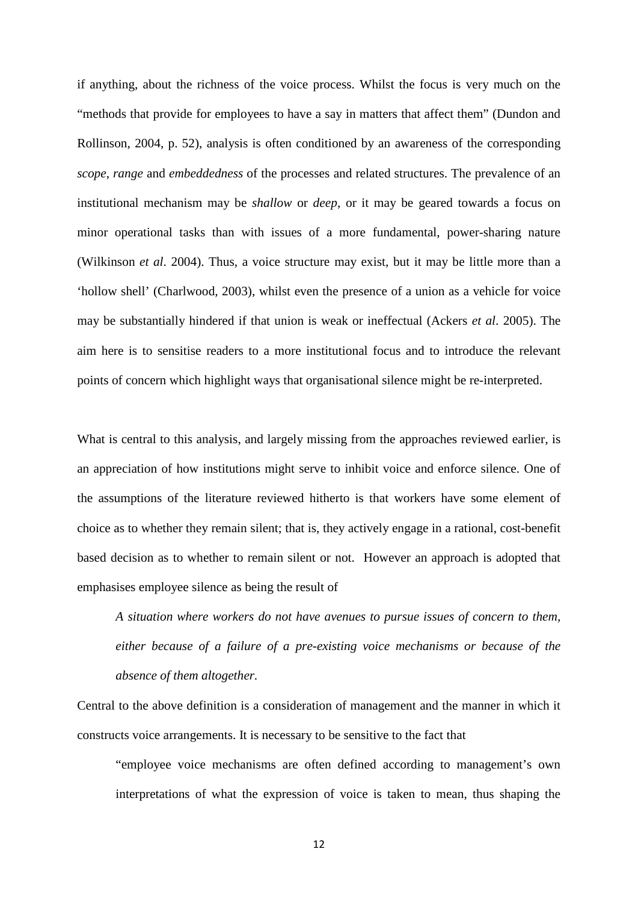if anything, about the richness of the voice process. Whilst the focus is very much on the "methods that provide for employees to have a say in matters that affect them" (Dundon and Rollinson, 2004, p. 52), analysis is often conditioned by an awareness of the corresponding *scope*, *range* and *embeddedness* of the processes and related structures. The prevalence of an institutional mechanism may be *shallow* or *deep*, or it may be geared towards a focus on minor operational tasks than with issues of a more fundamental, power-sharing nature (Wilkinson *et al*. 2004). Thus, a voice structure may exist, but it may be little more than a 'hollow shell' (Charlwood, 2003), whilst even the presence of a union as a vehicle for voice may be substantially hindered if that union is weak or ineffectual (Ackers *et al*. 2005). The aim here is to sensitise readers to a more institutional focus and to introduce the relevant points of concern which highlight ways that organisational silence might be re-interpreted.

What is central to this analysis, and largely missing from the approaches reviewed earlier, is an appreciation of how institutions might serve to inhibit voice and enforce silence. One of the assumptions of the literature reviewed hitherto is that workers have some element of choice as to whether they remain silent; that is, they actively engage in a rational, cost-benefit based decision as to whether to remain silent or not. However an approach is adopted that emphasises employee silence as being the result of

*A situation where workers do not have avenues to pursue issues of concern to them, either because of a failure of a pre-existing voice mechanisms or because of the absence of them altogether.* 

Central to the above definition is a consideration of management and the manner in which it constructs voice arrangements. It is necessary to be sensitive to the fact that

"employee voice mechanisms are often defined according to management's own interpretations of what the expression of voice is taken to mean, thus shaping the

12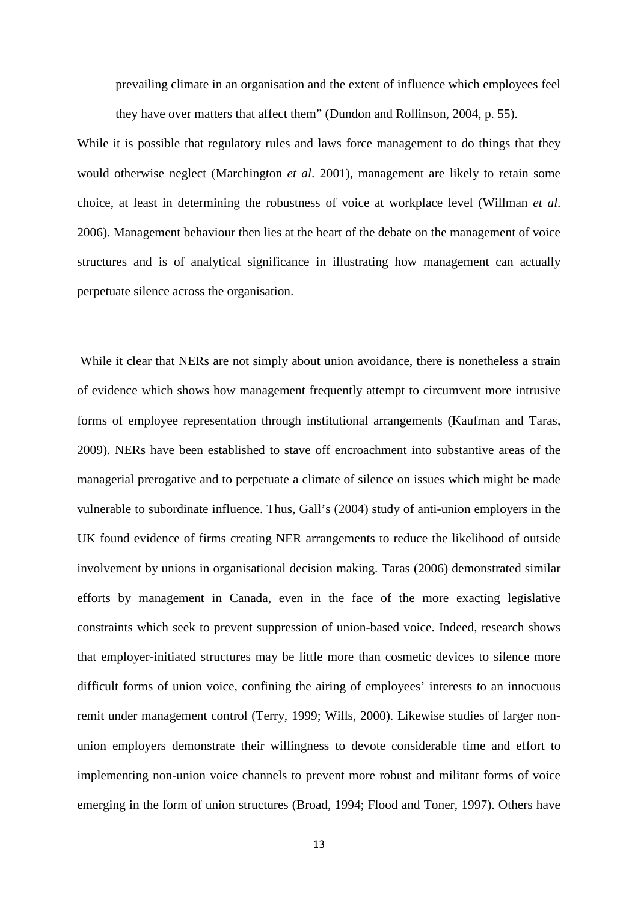prevailing climate in an organisation and the extent of influence which employees feel they have over matters that affect them" (Dundon and Rollinson, 2004, p. 55).

While it is possible that regulatory rules and laws force management to do things that they would otherwise neglect (Marchington *et al*. 2001), management are likely to retain some choice, at least in determining the robustness of voice at workplace level (Willman *et al*. 2006). Management behaviour then lies at the heart of the debate on the management of voice structures and is of analytical significance in illustrating how management can actually perpetuate silence across the organisation.

While it clear that NERs are not simply about union avoidance, there is nonetheless a strain of evidence which shows how management frequently attempt to circumvent more intrusive forms of employee representation through institutional arrangements (Kaufman and Taras, 2009). NERs have been established to stave off encroachment into substantive areas of the managerial prerogative and to perpetuate a climate of silence on issues which might be made vulnerable to subordinate influence. Thus, Gall's (2004) study of anti-union employers in the UK found evidence of firms creating NER arrangements to reduce the likelihood of outside involvement by unions in organisational decision making. Taras (2006) demonstrated similar efforts by management in Canada, even in the face of the more exacting legislative constraints which seek to prevent suppression of union-based voice. Indeed, research shows that employer-initiated structures may be little more than cosmetic devices to silence more difficult forms of union voice, confining the airing of employees' interests to an innocuous remit under management control (Terry, 1999; Wills, 2000). Likewise studies of larger nonunion employers demonstrate their willingness to devote considerable time and effort to implementing non-union voice channels to prevent more robust and militant forms of voice emerging in the form of union structures (Broad, 1994; Flood and Toner, 1997). Others have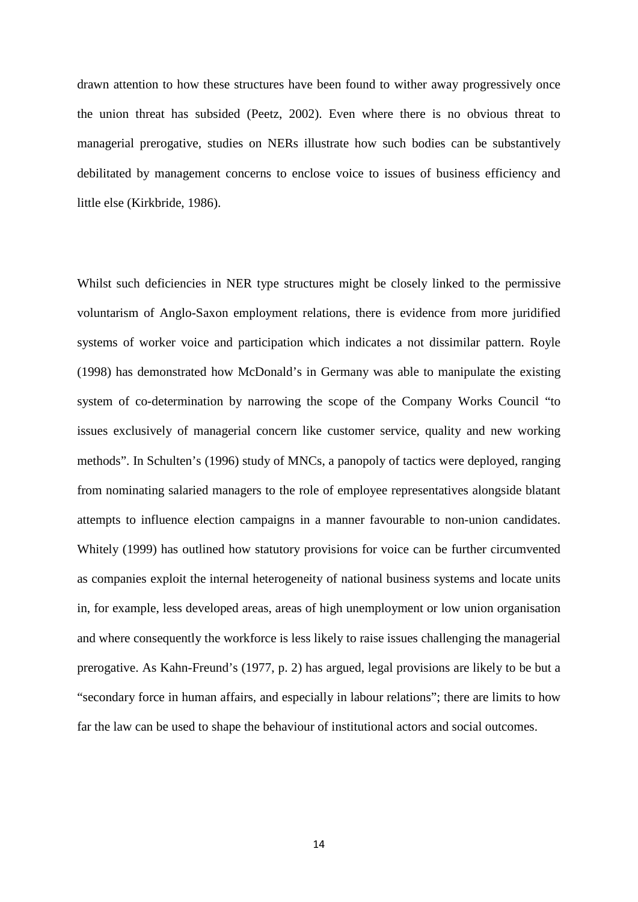drawn attention to how these structures have been found to wither away progressively once the union threat has subsided (Peetz, 2002). Even where there is no obvious threat to managerial prerogative, studies on NERs illustrate how such bodies can be substantively debilitated by management concerns to enclose voice to issues of business efficiency and little else (Kirkbride, 1986).

Whilst such deficiencies in NER type structures might be closely linked to the permissive voluntarism of Anglo-Saxon employment relations, there is evidence from more juridified systems of worker voice and participation which indicates a not dissimilar pattern. Royle (1998) has demonstrated how McDonald's in Germany was able to manipulate the existing system of co-determination by narrowing the scope of the Company Works Council "to issues exclusively of managerial concern like customer service, quality and new working methods". In Schulten's (1996) study of MNCs, a panopoly of tactics were deployed, ranging from nominating salaried managers to the role of employee representatives alongside blatant attempts to influence election campaigns in a manner favourable to non-union candidates. Whitely (1999) has outlined how statutory provisions for voice can be further circumvented as companies exploit the internal heterogeneity of national business systems and locate units in, for example, less developed areas, areas of high unemployment or low union organisation and where consequently the workforce is less likely to raise issues challenging the managerial prerogative. As Kahn-Freund's (1977, p. 2) has argued, legal provisions are likely to be but a "secondary force in human affairs, and especially in labour relations"; there are limits to how far the law can be used to shape the behaviour of institutional actors and social outcomes.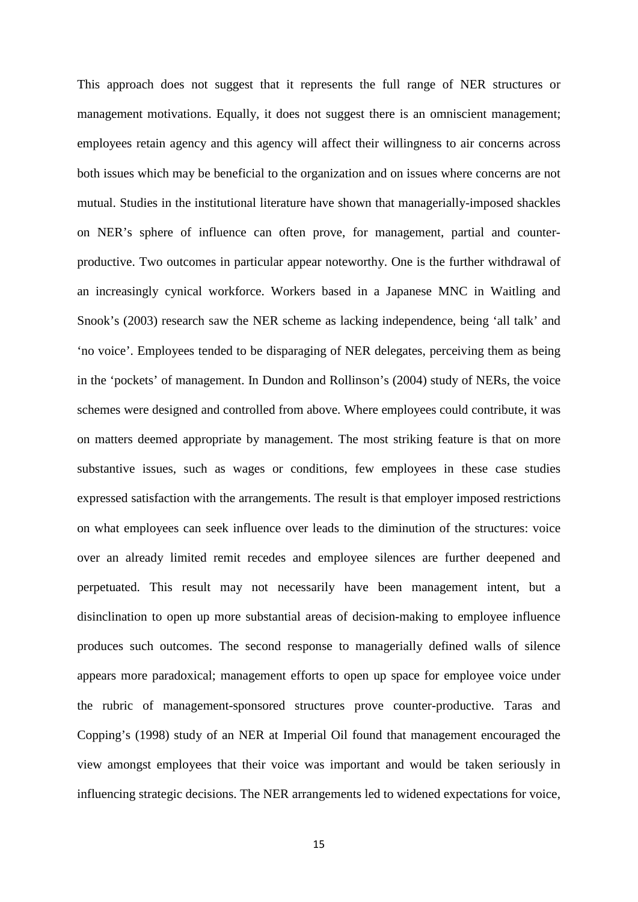This approach does not suggest that it represents the full range of NER structures or management motivations. Equally, it does not suggest there is an omniscient management; employees retain agency and this agency will affect their willingness to air concerns across both issues which may be beneficial to the organization and on issues where concerns are not mutual. Studies in the institutional literature have shown that managerially-imposed shackles on NER's sphere of influence can often prove, for management, partial and counterproductive. Two outcomes in particular appear noteworthy. One is the further withdrawal of an increasingly cynical workforce. Workers based in a Japanese MNC in Waitling and Snook's (2003) research saw the NER scheme as lacking independence, being 'all talk' and 'no voice'. Employees tended to be disparaging of NER delegates, perceiving them as being in the 'pockets' of management. In Dundon and Rollinson's (2004) study of NERs, the voice schemes were designed and controlled from above. Where employees could contribute, it was on matters deemed appropriate by management. The most striking feature is that on more substantive issues, such as wages or conditions, few employees in these case studies expressed satisfaction with the arrangements. The result is that employer imposed restrictions on what employees can seek influence over leads to the diminution of the structures: voice over an already limited remit recedes and employee silences are further deepened and perpetuated. This result may not necessarily have been management intent, but a disinclination to open up more substantial areas of decision-making to employee influence produces such outcomes. The second response to managerially defined walls of silence appears more paradoxical; management efforts to open up space for employee voice under the rubric of management-sponsored structures prove counter-productive. Taras and Copping's (1998) study of an NER at Imperial Oil found that management encouraged the view amongst employees that their voice was important and would be taken seriously in influencing strategic decisions. The NER arrangements led to widened expectations for voice,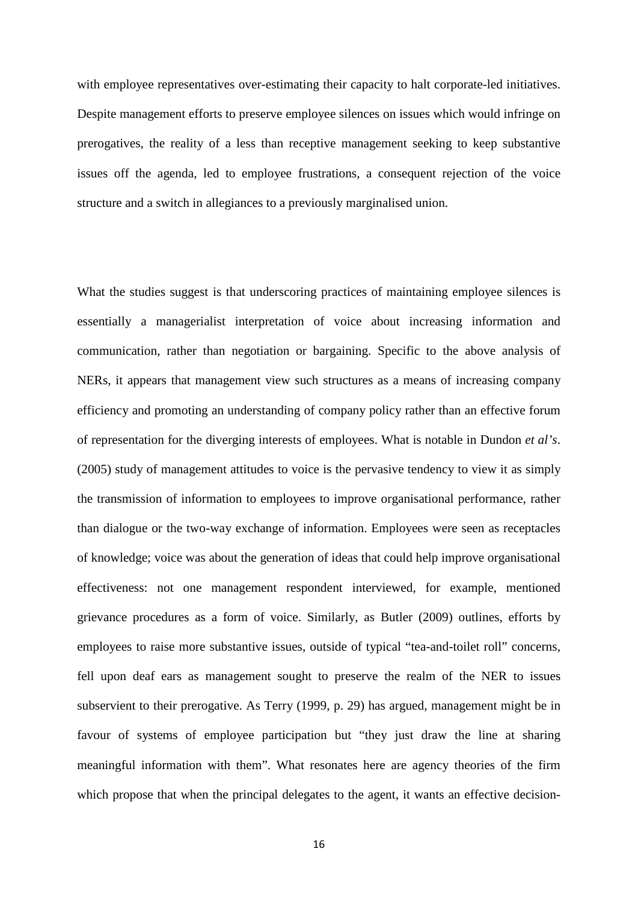with employee representatives over-estimating their capacity to halt corporate-led initiatives. Despite management efforts to preserve employee silences on issues which would infringe on prerogatives, the reality of a less than receptive management seeking to keep substantive issues off the agenda, led to employee frustrations, a consequent rejection of the voice structure and a switch in allegiances to a previously marginalised union.

What the studies suggest is that underscoring practices of maintaining employee silences is essentially a managerialist interpretation of voice about increasing information and communication, rather than negotiation or bargaining. Specific to the above analysis of NERs, it appears that management view such structures as a means of increasing company efficiency and promoting an understanding of company policy rather than an effective forum of representation for the diverging interests of employees. What is notable in Dundon *et al's*. (2005) study of management attitudes to voice is the pervasive tendency to view it as simply the transmission of information to employees to improve organisational performance, rather than dialogue or the two-way exchange of information. Employees were seen as receptacles of knowledge; voice was about the generation of ideas that could help improve organisational effectiveness: not one management respondent interviewed, for example, mentioned grievance procedures as a form of voice. Similarly, as Butler (2009) outlines, efforts by employees to raise more substantive issues, outside of typical "tea-and-toilet roll" concerns, fell upon deaf ears as management sought to preserve the realm of the NER to issues subservient to their prerogative. As Terry (1999, p. 29) has argued, management might be in favour of systems of employee participation but "they just draw the line at sharing meaningful information with them". What resonates here are agency theories of the firm which propose that when the principal delegates to the agent, it wants an effective decision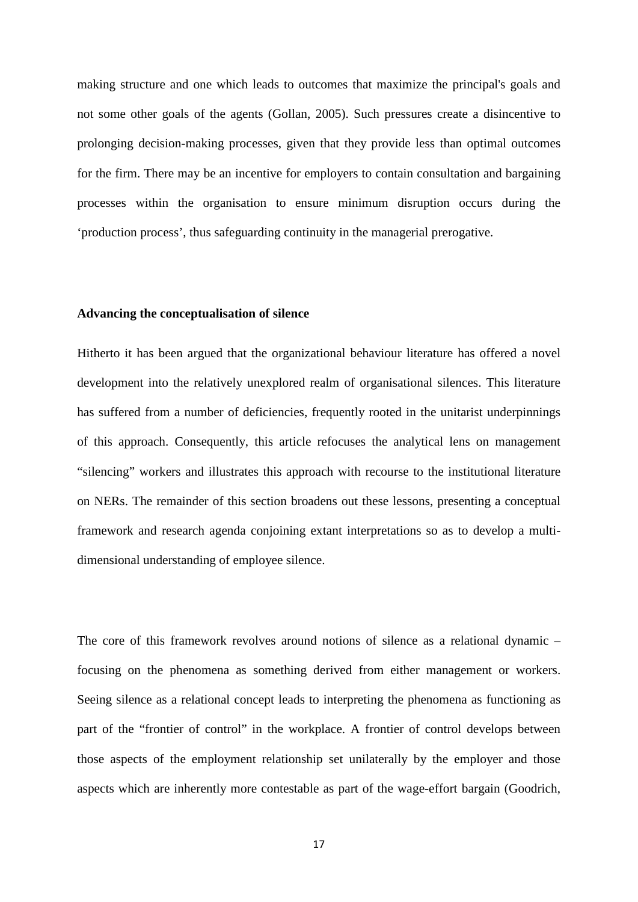making structure and one which leads to outcomes that maximize the principal's goals and not some other goals of the agents (Gollan, 2005). Such pressures create a disincentive to prolonging decision-making processes, given that they provide less than optimal outcomes for the firm. There may be an incentive for employers to contain consultation and bargaining processes within the organisation to ensure minimum disruption occurs during the 'production process', thus safeguarding continuity in the managerial prerogative.

#### **Advancing the conceptualisation of silence**

Hitherto it has been argued that the organizational behaviour literature has offered a novel development into the relatively unexplored realm of organisational silences. This literature has suffered from a number of deficiencies, frequently rooted in the unitarist underpinnings of this approach. Consequently, this article refocuses the analytical lens on management "silencing" workers and illustrates this approach with recourse to the institutional literature on NERs. The remainder of this section broadens out these lessons, presenting a conceptual framework and research agenda conjoining extant interpretations so as to develop a multidimensional understanding of employee silence.

The core of this framework revolves around notions of silence as a relational dynamic – focusing on the phenomena as something derived from either management or workers. Seeing silence as a relational concept leads to interpreting the phenomena as functioning as part of the "frontier of control" in the workplace. A frontier of control develops between those aspects of the employment relationship set unilaterally by the employer and those aspects which are inherently more contestable as part of the wage-effort bargain (Goodrich,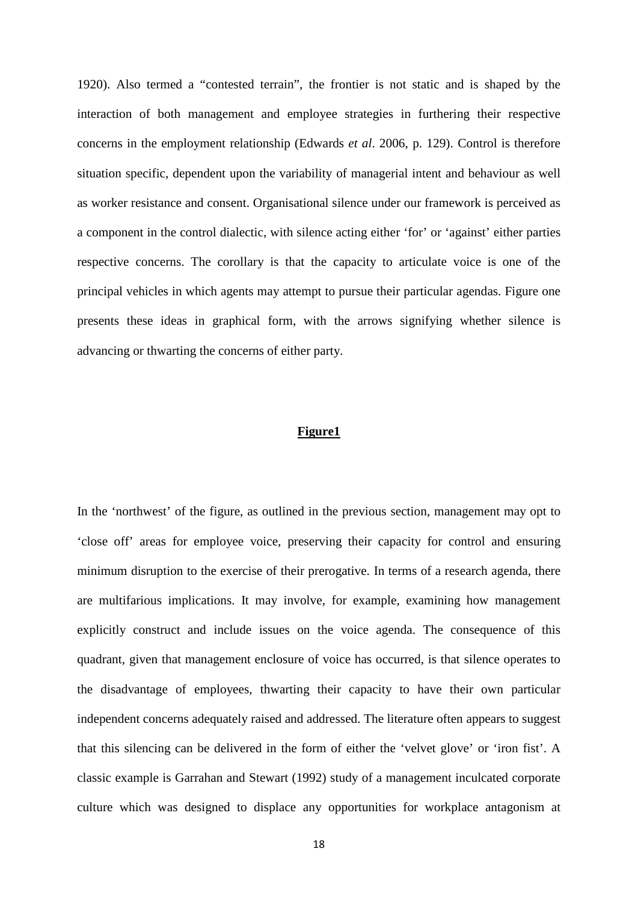1920). Also termed a "contested terrain", the frontier is not static and is shaped by the interaction of both management and employee strategies in furthering their respective concerns in the employment relationship (Edwards *et al*. 2006, p. 129). Control is therefore situation specific, dependent upon the variability of managerial intent and behaviour as well as worker resistance and consent. Organisational silence under our framework is perceived as a component in the control dialectic, with silence acting either 'for' or 'against' either parties respective concerns. The corollary is that the capacity to articulate voice is one of the principal vehicles in which agents may attempt to pursue their particular agendas. Figure one presents these ideas in graphical form, with the arrows signifying whether silence is advancing or thwarting the concerns of either party.

## **Figure1**

In the 'northwest' of the figure, as outlined in the previous section, management may opt to 'close off' areas for employee voice, preserving their capacity for control and ensuring minimum disruption to the exercise of their prerogative. In terms of a research agenda, there are multifarious implications. It may involve, for example, examining how management explicitly construct and include issues on the voice agenda. The consequence of this quadrant, given that management enclosure of voice has occurred, is that silence operates to the disadvantage of employees, thwarting their capacity to have their own particular independent concerns adequately raised and addressed. The literature often appears to suggest that this silencing can be delivered in the form of either the 'velvet glove' or 'iron fist'. A classic example is Garrahan and Stewart (1992) study of a management inculcated corporate culture which was designed to displace any opportunities for workplace antagonism at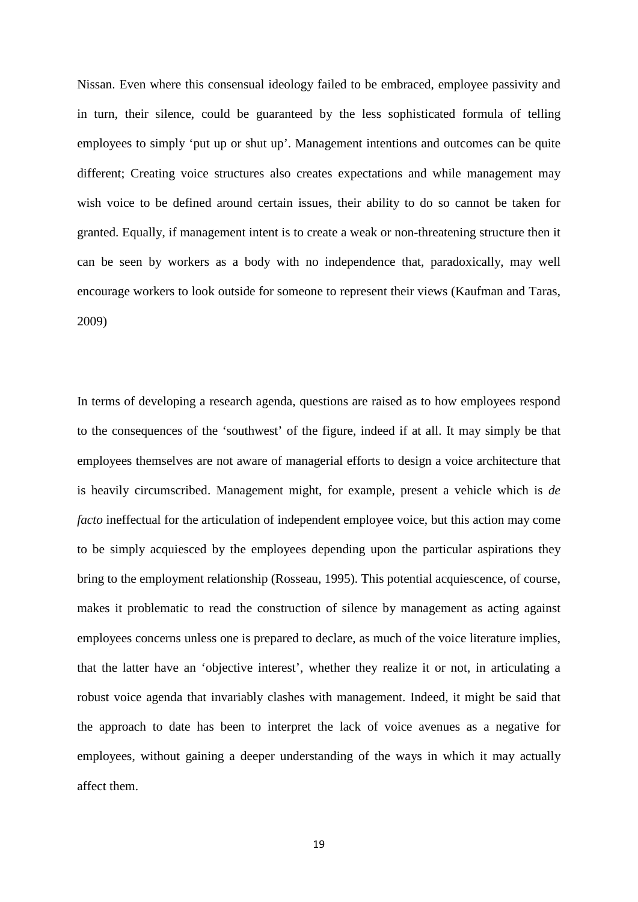Nissan. Even where this consensual ideology failed to be embraced, employee passivity and in turn, their silence, could be guaranteed by the less sophisticated formula of telling employees to simply 'put up or shut up'. Management intentions and outcomes can be quite different; Creating voice structures also creates expectations and while management may wish voice to be defined around certain issues, their ability to do so cannot be taken for granted. Equally, if management intent is to create a weak or non-threatening structure then it can be seen by workers as a body with no independence that, paradoxically, may well encourage workers to look outside for someone to represent their views (Kaufman and Taras, 2009)

In terms of developing a research agenda, questions are raised as to how employees respond to the consequences of the 'southwest' of the figure, indeed if at all. It may simply be that employees themselves are not aware of managerial efforts to design a voice architecture that is heavily circumscribed. Management might, for example, present a vehicle which is *de facto* ineffectual for the articulation of independent employee voice, but this action may come to be simply acquiesced by the employees depending upon the particular aspirations they bring to the employment relationship (Rosseau, 1995). This potential acquiescence, of course, makes it problematic to read the construction of silence by management as acting against employees concerns unless one is prepared to declare, as much of the voice literature implies, that the latter have an 'objective interest', whether they realize it or not, in articulating a robust voice agenda that invariably clashes with management. Indeed, it might be said that the approach to date has been to interpret the lack of voice avenues as a negative for employees, without gaining a deeper understanding of the ways in which it may actually affect them.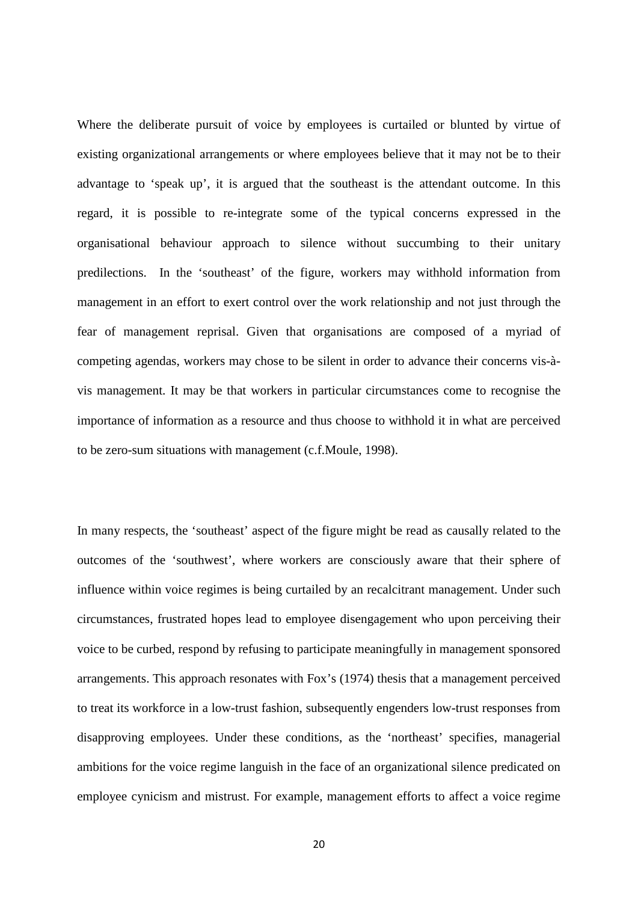Where the deliberate pursuit of voice by employees is curtailed or blunted by virtue of existing organizational arrangements or where employees believe that it may not be to their advantage to 'speak up', it is argued that the southeast is the attendant outcome. In this regard, it is possible to re-integrate some of the typical concerns expressed in the organisational behaviour approach to silence without succumbing to their unitary predilections. In the 'southeast' of the figure, workers may withhold information from management in an effort to exert control over the work relationship and not just through the fear of management reprisal. Given that organisations are composed of a myriad of competing agendas, workers may chose to be silent in order to advance their concerns vis-àvis management. It may be that workers in particular circumstances come to recognise the importance of information as a resource and thus choose to withhold it in what are perceived to be zero-sum situations with management (c.f.Moule, 1998).

In many respects, the 'southeast' aspect of the figure might be read as causally related to the outcomes of the 'southwest', where workers are consciously aware that their sphere of influence within voice regimes is being curtailed by an recalcitrant management. Under such circumstances, frustrated hopes lead to employee disengagement who upon perceiving their voice to be curbed, respond by refusing to participate meaningfully in management sponsored arrangements. This approach resonates with Fox's (1974) thesis that a management perceived to treat its workforce in a low-trust fashion, subsequently engenders low-trust responses from disapproving employees. Under these conditions, as the 'northeast' specifies, managerial ambitions for the voice regime languish in the face of an organizational silence predicated on employee cynicism and mistrust. For example, management efforts to affect a voice regime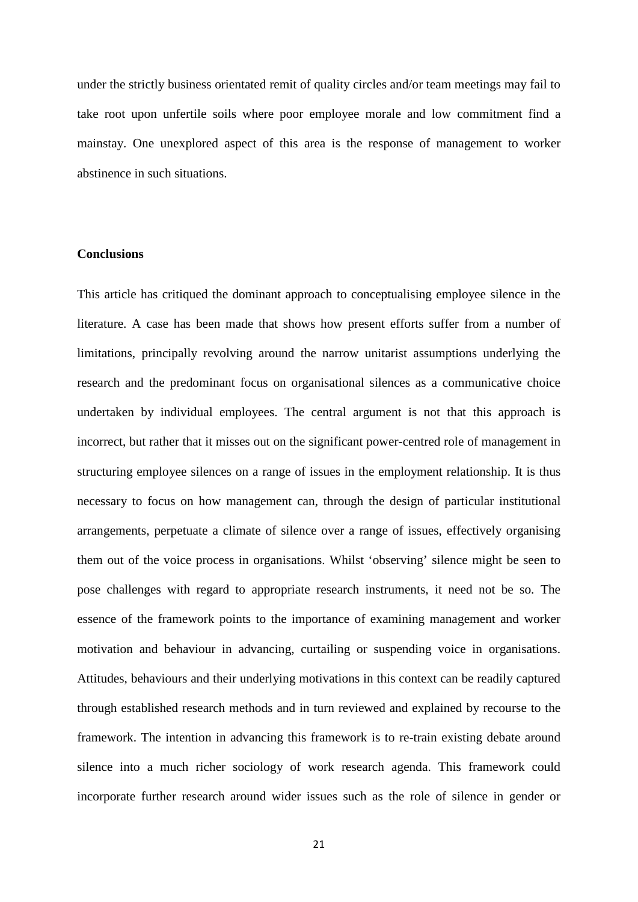under the strictly business orientated remit of quality circles and/or team meetings may fail to take root upon unfertile soils where poor employee morale and low commitment find a mainstay. One unexplored aspect of this area is the response of management to worker abstinence in such situations.

## **Conclusions**

This article has critiqued the dominant approach to conceptualising employee silence in the literature. A case has been made that shows how present efforts suffer from a number of limitations, principally revolving around the narrow unitarist assumptions underlying the research and the predominant focus on organisational silences as a communicative choice undertaken by individual employees. The central argument is not that this approach is incorrect, but rather that it misses out on the significant power-centred role of management in structuring employee silences on a range of issues in the employment relationship. It is thus necessary to focus on how management can, through the design of particular institutional arrangements, perpetuate a climate of silence over a range of issues, effectively organising them out of the voice process in organisations. Whilst 'observing' silence might be seen to pose challenges with regard to appropriate research instruments, it need not be so. The essence of the framework points to the importance of examining management and worker motivation and behaviour in advancing, curtailing or suspending voice in organisations. Attitudes, behaviours and their underlying motivations in this context can be readily captured through established research methods and in turn reviewed and explained by recourse to the framework. The intention in advancing this framework is to re-train existing debate around silence into a much richer sociology of work research agenda. This framework could incorporate further research around wider issues such as the role of silence in gender or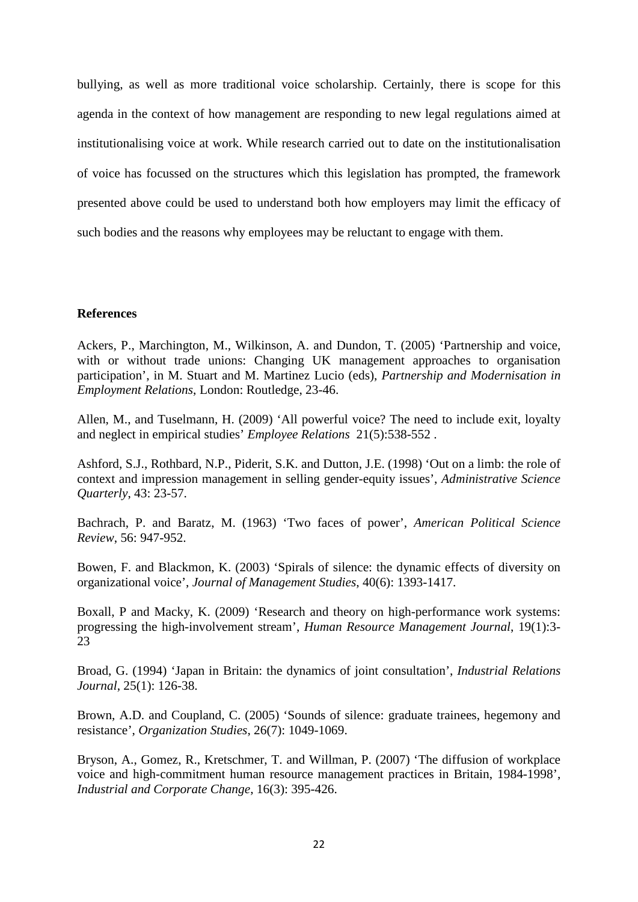bullying, as well as more traditional voice scholarship. Certainly, there is scope for this agenda in the context of how management are responding to new legal regulations aimed at institutionalising voice at work. While research carried out to date on the institutionalisation of voice has focussed on the structures which this legislation has prompted, the framework presented above could be used to understand both how employers may limit the efficacy of such bodies and the reasons why employees may be reluctant to engage with them.

### **References**

Ackers, P., Marchington, M., Wilkinson, A. and Dundon, T. (2005) 'Partnership and voice, with or without trade unions: Changing UK management approaches to organisation participation', in M. Stuart and M. Martinez Lucio (eds), *Partnership and Modernisation in Employment Relations*, London: Routledge, 23-46.

Allen, M., and Tuselmann, H. (2009) 'All powerful voice? The need to include exit, loyalty and neglect in empirical studies' *Employee Relations* 21(5):538-552 .

Ashford, S.J., Rothbard, N.P., Piderit, S.K. and Dutton, J.E. (1998) 'Out on a limb: the role of context and impression management in selling gender-equity issues', *Administrative Science Quarterly*, 43: 23-57.

Bachrach, P. and Baratz, M. (1963) 'Two faces of power', *American Political Science Review*, 56: 947-952.

Bowen, F. and Blackmon, K. (2003) 'Spirals of silence: the dynamic effects of diversity on organizational voice', *Journal of Management Studies*, 40(6): 1393-1417.

Boxall, P and Macky, K. (2009) 'Research and theory on high-performance work systems: progressing the high-involvement stream', *Human Resource Management Journal*, 19(1):3- 23

Broad, G. (1994) 'Japan in Britain: the dynamics of joint consultation', *Industrial Relations Journal*, 25(1): 126-38.

Brown, A.D. and Coupland, C. (2005) 'Sounds of silence: graduate trainees, hegemony and resistance', *Organization Studies*, 26(7): 1049-1069.

Bryson, A., Gomez, R., Kretschmer, T. and Willman, P. (2007) 'The diffusion of workplace voice and high-commitment human resource management practices in Britain, 1984-1998', *Industrial and Corporate Change*, 16(3): 395-426.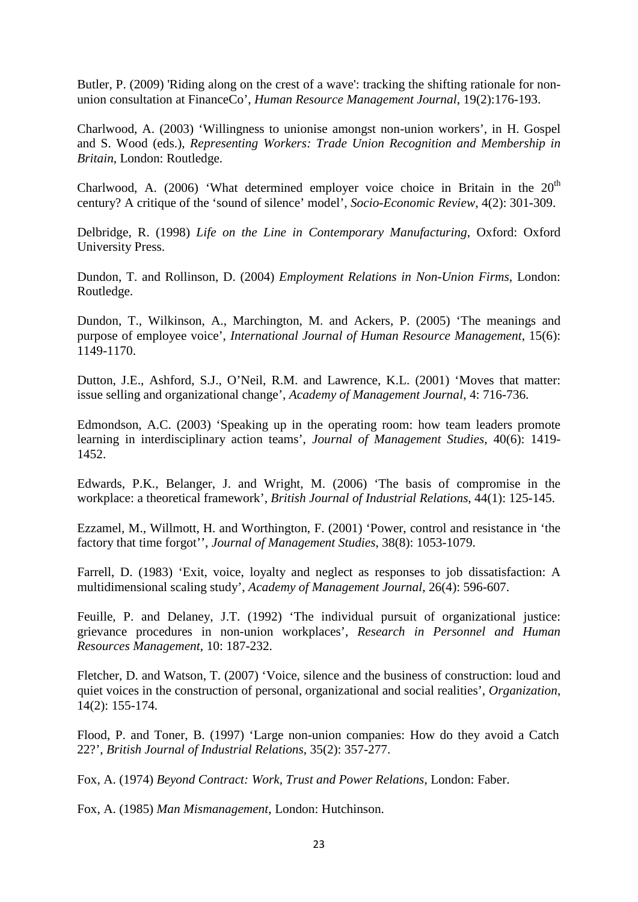Butler, P. (2009) 'Riding along on the crest of a wave': tracking the shifting rationale for nonunion consultation at FinanceCo', *Human Resource Management Journal*, 19(2):176-193.

Charlwood, A. (2003) 'Willingness to unionise amongst non-union workers', in H. Gospel and S. Wood (eds.), *Representing Workers: Trade Union Recognition and Membership in Britain*, London: Routledge.

Charlwood, A. (2006) 'What determined employer voice choice in Britain in the  $20<sup>th</sup>$ century? A critique of the 'sound of silence' model', *Socio-Economic Review*, 4(2): 301-309.

Delbridge, R. (1998) *Life on the Line in Contemporary Manufacturing*, Oxford: Oxford University Press.

Dundon, T. and Rollinson, D. (2004) *Employment Relations in Non-Union Firms*, London: Routledge.

Dundon, T., Wilkinson, A., Marchington, M. and Ackers, P. (2005) 'The meanings and purpose of employee voice', *International Journal of Human Resource Management*, 15(6): 1149-1170.

Dutton, J.E., Ashford, S.J., O'Neil, R.M. and Lawrence, K.L. (2001) 'Moves that matter: issue selling and organizational change', *Academy of Management Journal*, 4: 716-736.

Edmondson, A.C. (2003) 'Speaking up in the operating room: how team leaders promote learning in interdisciplinary action teams', *Journal of Management Studies*, 40(6): 1419- 1452.

Edwards, P.K., Belanger, J. and Wright, M. (2006) 'The basis of compromise in the workplace: a theoretical framework', *British Journal of Industrial Relations*, 44(1): 125-145.

Ezzamel, M., Willmott, H. and Worthington, F. (2001) 'Power, control and resistance in 'the factory that time forgot'', *Journal of Management Studies*, 38(8): 1053-1079.

Farrell, D. (1983) 'Exit, voice, loyalty and neglect as responses to job dissatisfaction: A multidimensional scaling study', *Academy of Management Journal*, 26(4): 596-607.

Feuille, P. and Delaney, J.T. (1992) 'The individual pursuit of organizational justice: grievance procedures in non-union workplaces', *Research in Personnel and Human Resources Management*, 10: 187-232.

Fletcher, D. and Watson, T. (2007) 'Voice, silence and the business of construction: loud and quiet voices in the construction of personal, organizational and social realities', *Organization*, 14(2): 155-174.

Flood, P. and Toner, B. (1997) 'Large non-union companies: How do they avoid a Catch 22?', *British Journal of Industrial Relations*, 35(2): 357-277.

Fox, A. (1974) *Beyond Contract: Work, Trust and Power Relations*, London: Faber.

Fox, A. (1985) *Man Mismanagement*, London: Hutchinson.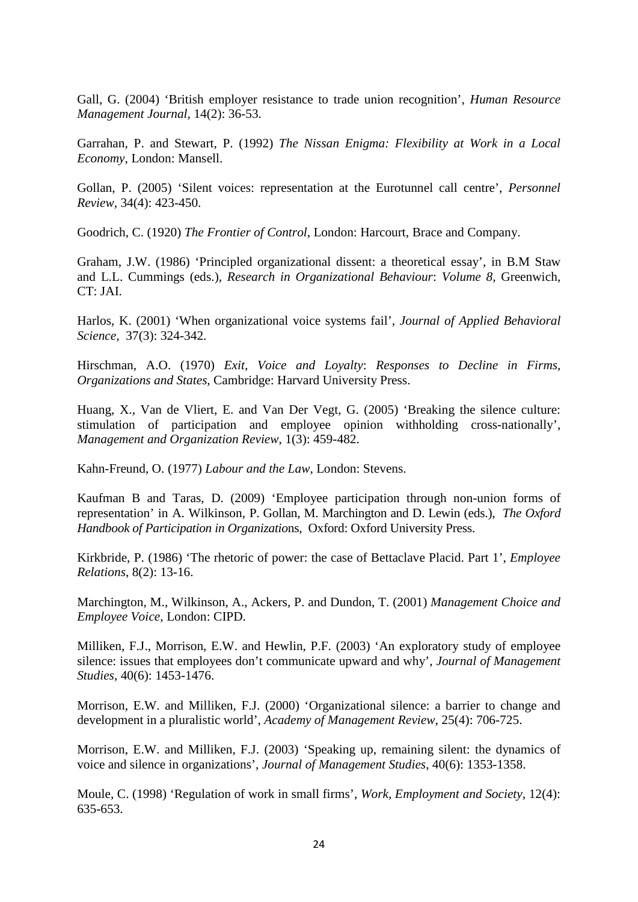Gall, G. (2004) 'British employer resistance to trade union recognition', *Human Resource Management Journal*, 14(2): 36-53.

Garrahan, P. and Stewart, P. (1992) *The Nissan Enigma: Flexibility at Work in a Local Economy*, London: Mansell.

Gollan, P. (2005) 'Silent voices: representation at the Eurotunnel call centre', *Personnel Review*, 34(4): 423-450.

Goodrich, C. (1920) *The Frontier of Control*, London: Harcourt, Brace and Company.

Graham, J.W. (1986) 'Principled organizational dissent: a theoretical essay', in B.M Staw and L.L. Cummings (eds.), *Research in Organizational Behaviour*: *Volume 8,* Greenwich, CT: JAI.

Harlos, K. (2001) 'When organizational voice systems fail', *Journal of Applied Behavioral Science*, 37(3): 324-342.

Hirschman, A.O. (1970) *Exit, Voice and Loyalty*: *Responses to Decline in Firms, Organizations and States*, Cambridge: Harvard University Press.

Huang, X., Van de Vliert, E. and Van Der Vegt, G. (2005) 'Breaking the silence culture: stimulation of participation and employee opinion withholding cross-nationally', *Management and Organization Review*, 1(3): 459-482.

Kahn-Freund, O. (1977) *Labour and the Law*, London: Stevens.

Kaufman B and Taras, D. (2009) 'Employee participation through non-union forms of representation' in A. Wilkinson, P. Gollan, M. Marchington and D. Lewin (eds.), *The Oxford Handbook of Participation in Organizatio*ns, Oxford: Oxford University Press.

Kirkbride, P. (1986) 'The rhetoric of power: the case of Bettaclave Placid. Part 1', *Employee Relations*, 8(2): 13-16.

Marchington, M., Wilkinson, A., Ackers, P. and Dundon, T. (2001) *Management Choice and Employee Voice*, London: CIPD.

Milliken, F.J., Morrison, E.W. and Hewlin, P.F. (2003) 'An exploratory study of employee silence: issues that employees don't communicate upward and why', *Journal of Management Studies*, 40(6): 1453-1476.

Morrison, E.W. and Milliken, F.J. (2000) 'Organizational silence: a barrier to change and development in a pluralistic world', *Academy of Management Review*, 25(4): 706-725.

Morrison, E.W. and Milliken, F.J. (2003) 'Speaking up, remaining silent: the dynamics of voice and silence in organizations', *Journal of Management Studies*, 40(6): 1353-1358.

Moule, C. (1998) 'Regulation of work in small firms', *Work, Employment and Society*, 12(4): 635-653.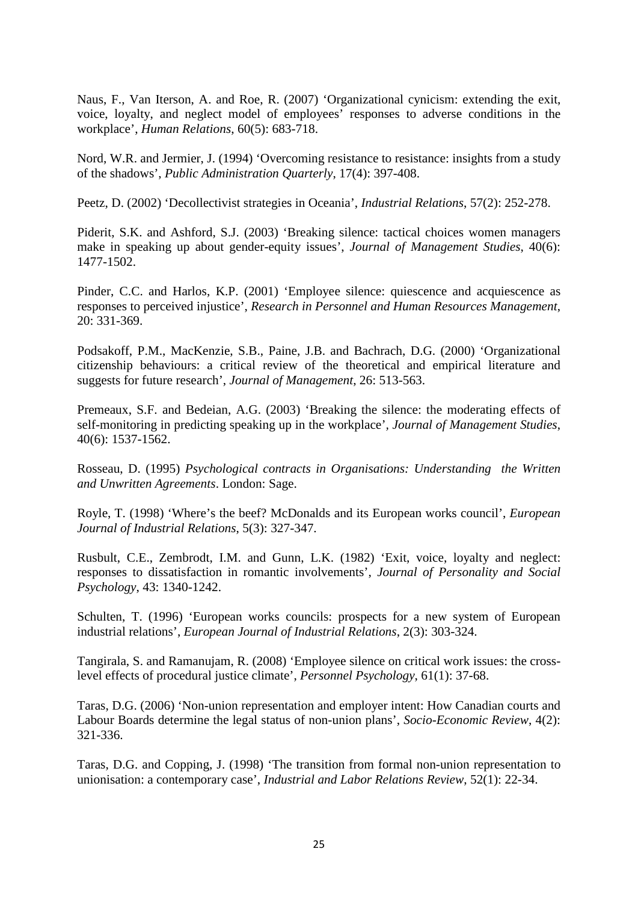Naus, F., Van Iterson, A. and Roe, R. (2007) 'Organizational cynicism: extending the exit, voice, loyalty, and neglect model of employees' responses to adverse conditions in the workplace', *Human Relations*, 60(5): 683-718.

Nord, W.R. and Jermier, J. (1994) 'Overcoming resistance to resistance: insights from a study of the shadows', *Public Administration Quarterly*, 17(4): 397-408.

Peetz, D. (2002) 'Decollectivist strategies in Oceania', *Industrial Relations*, 57(2): 252-278.

Piderit, S.K. and Ashford, S.J. (2003) 'Breaking silence: tactical choices women managers make in speaking up about gender-equity issues', *Journal of Management Studies*, 40(6): 1477-1502.

Pinder, C.C. and Harlos, K.P. (2001) 'Employee silence: quiescence and acquiescence as responses to perceived injustice', *Research in Personnel and Human Resources Management*, 20: 331-369.

Podsakoff, P.M., MacKenzie, S.B., Paine, J.B. and Bachrach, D.G. (2000) 'Organizational citizenship behaviours: a critical review of the theoretical and empirical literature and suggests for future research', *Journal of Management*, 26: 513-563.

Premeaux, S.F. and Bedeian, A.G. (2003) 'Breaking the silence: the moderating effects of self-monitoring in predicting speaking up in the workplace'*, Journal of Management Studies*, 40(6): 1537-1562.

Rosseau, D. (1995) *Psychological contracts in Organisations: Understanding the Written and Unwritten Agreements*. London: Sage.

Royle, T. (1998) 'Where's the beef? McDonalds and its European works council', *European Journal of Industrial Relations*, 5(3): 327-347.

Rusbult, C.E., Zembrodt, I.M. and Gunn, L.K. (1982) 'Exit, voice, loyalty and neglect: responses to dissatisfaction in romantic involvements', *Journal of Personality and Social Psychology*, 43: 1340-1242.

Schulten, T. (1996) 'European works councils: prospects for a new system of European industrial relations', *European Journal of Industrial Relations*, 2(3): 303-324.

Tangirala, S. and Ramanujam, R. (2008) 'Employee silence on critical work issues: the crosslevel effects of procedural justice climate', *Personnel Psychology*, 61(1): 37-68.

Taras, D.G. (2006) 'Non-union representation and employer intent: How Canadian courts and Labour Boards determine the legal status of non-union plans', *Socio-Economic Review*, 4(2): 321-336.

Taras, D.G. and Copping, J. (1998) 'The transition from formal non-union representation to unionisation: a contemporary case', *Industrial and Labor Relations Review*, 52(1): 22-34.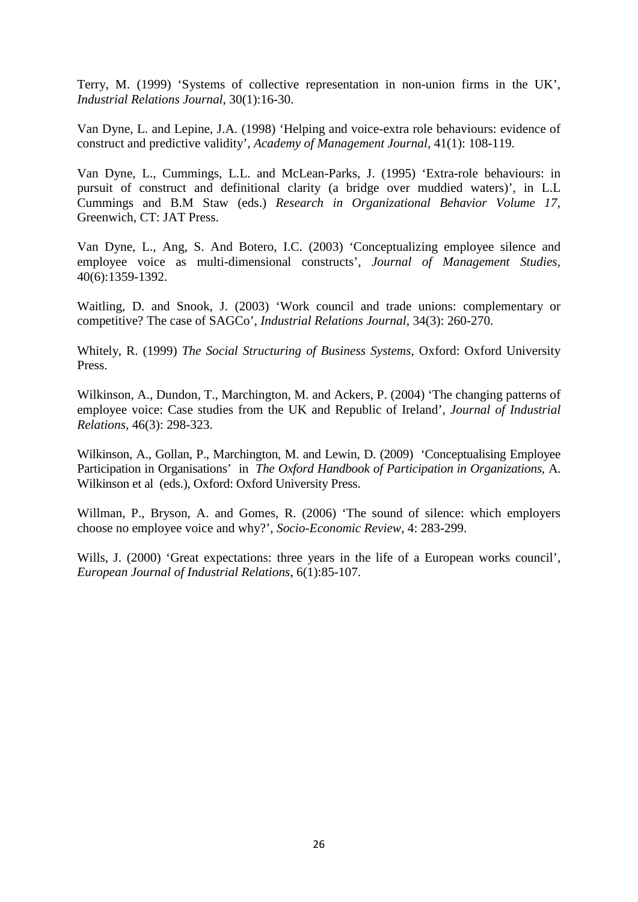Terry, M. (1999) 'Systems of collective representation in non-union firms in the UK', *Industrial Relations Journal*, 30(1):16-30.

Van Dyne, L. and Lepine, J.A. (1998) 'Helping and voice-extra role behaviours: evidence of construct and predictive validity', *Academy of Management Journal*, 41(1): 108-119.

Van Dyne, L., Cummings, L.L. and McLean-Parks, J. (1995) 'Extra-role behaviours: in pursuit of construct and definitional clarity (a bridge over muddied waters)', in L.L Cummings and B.M Staw (eds.) *Research in Organizational Behavior Volume 17*, Greenwich, CT: JAT Press.

Van Dyne, L., Ang, S. And Botero, I.C. (2003) 'Conceptualizing employee silence and employee voice as multi-dimensional constructs', *Journal of Management Studies,*  40(6):1359-1392.

Waitling, D. and Snook, J. (2003) 'Work council and trade unions: complementary or competitive? The case of SAGCo', *Industrial Relations Journal*, 34(3): 260-270.

Whitely, R. (1999) *The Social Structuring of Business Systems*, Oxford: Oxford University Press.

Wilkinson, A., Dundon, T., Marchington, M. and Ackers, P. (2004) 'The changing patterns of employee voice: Case studies from the UK and Republic of Ireland', *Journal of Industrial Relations*, 46(3): 298-323.

Wilkinson, A., Gollan, P., Marchington, M. and Lewin, D. (2009) 'Conceptualising Employee Participation in Organisations' in *The Oxford Handbook of Participation in Organizations,* A. Wilkinson et al (eds.), Oxford: Oxford University Press.

Willman, P., Bryson, A. and Gomes, R. (2006) 'The sound of silence: which employers choose no employee voice and why?', *Socio-Economic Review*, 4: 283-299.

Wills, J. (2000) 'Great expectations: three years in the life of a European works council', *European Journal of Industrial Relations*, 6(1):85-107.